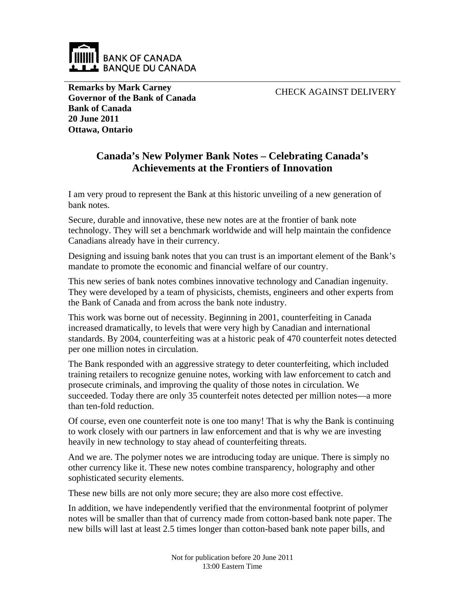

**Remarks by Mark Carney Governor of the Bank of Canada Bank of Canada 20 June 2011 Ottawa, Ontario**

CHECK AGAINST DELIVERY

## **Canada's New Polymer Bank Notes – Celebrating Canada's Achievements at the Frontiers of Innovation**

I am very proud to represent the Bank at this historic unveiling of a new generation of bank notes.

Secure, durable and innovative, these new notes are at the frontier of bank note technology. They will set a benchmark worldwide and will help maintain the confidence Canadians already have in their currency.

Designing and issuing bank notes that you can trust is an important element of the Bank's mandate to promote the economic and financial welfare of our country.

This new series of bank notes combines innovative technology and Canadian ingenuity. They were developed by a team of physicists, chemists, engineers and other experts from the Bank of Canada and from across the bank note industry.

This work was borne out of necessity. Beginning in 2001, counterfeiting in Canada increased dramatically, to levels that were very high by Canadian and international standards. By 2004, counterfeiting was at a historic peak of 470 counterfeit notes detected per one million notes in circulation.

The Bank responded with an aggressive strategy to deter counterfeiting, which included training retailers to recognize genuine notes, working with law enforcement to catch and prosecute criminals, and improving the quality of those notes in circulation. We succeeded. Today there are only 35 counterfeit notes detected per million notes—a more than ten-fold reduction.

Of course, even one counterfeit note is one too many! That is why the Bank is continuing to work closely with our partners in law enforcement and that is why we are investing heavily in new technology to stay ahead of counterfeiting threats.

And we are. The polymer notes we are introducing today are unique. There is simply no other currency like it. These new notes combine transparency, holography and other sophisticated security elements.

These new bills are not only more secure; they are also more cost effective.

In addition, we have independently verified that the environmental footprint of polymer notes will be smaller than that of currency made from cotton-based bank note paper. The new bills will last at least 2.5 times longer than cotton-based bank note paper bills, and